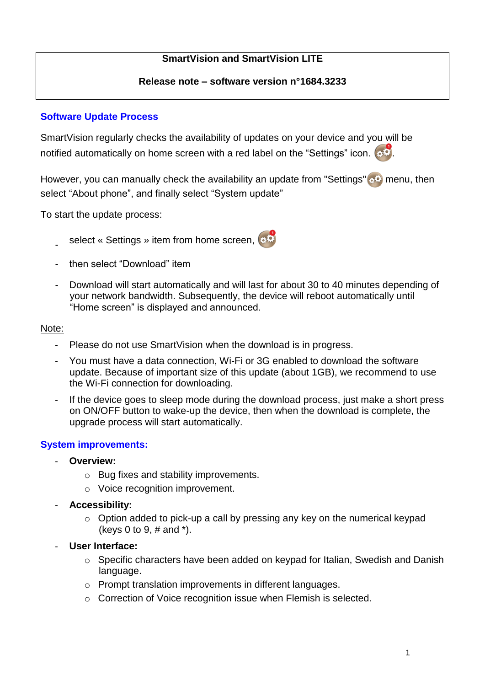# **SmartVision and SmartVision LITE**

### **Release note – software version n°1684.3233**

# **Software Update Process**

SmartVision regularly checks the availability of updates on your device and you will be notified automatically on home screen with a red label on the "Settings" icon.  $\bullet$ 

However, you can manually check the availability an update from "Settings" is menu, then select "About phone", and finally select "System update"

To start the update process:

- select « Settings » item from home screen,  $\bullet$
- then select "Download" item
- Download will start automatically and will last for about 30 to 40 minutes depending of your network bandwidth. Subsequently, the device will reboot automatically until "Home screen" is displayed and announced.

#### Note:

- Please do not use SmartVision when the download is in progress.
- You must have a data connection, Wi-Fi or 3G enabled to download the software update. Because of important size of this update (about 1GB), we recommend to use the Wi-Fi connection for downloading.
- If the device goes to sleep mode during the download process, just make a short press on ON/OFF button to wake-up the device, then when the download is complete, the upgrade process will start automatically.

## **System improvements:**

- **Overview:**
	- o Bug fixes and stability improvements.
	- o Voice recognition improvement.
- **Accessibility:**
	- $\circ$  Option added to pick-up a call by pressing any key on the numerical keypad (keys 0 to 9, # and \*).
- **User Interface:**
	- o Specific characters have been added on keypad for Italian, Swedish and Danish language.
	- o Prompt translation improvements in different languages.
	- o Correction of Voice recognition issue when Flemish is selected.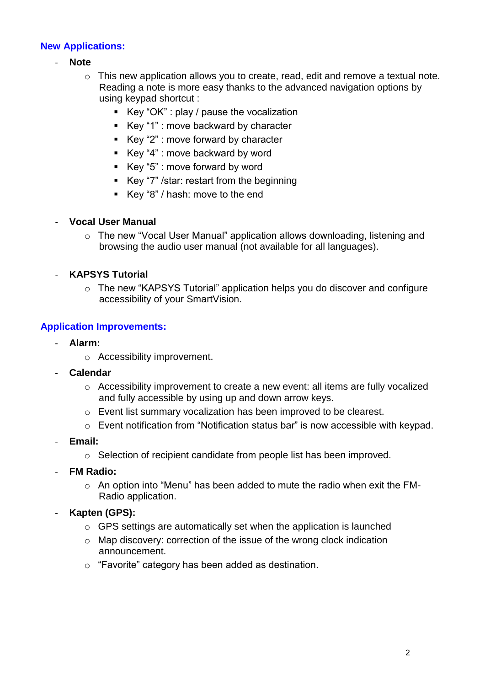# **New Applications:**

- **Note**
	- o This new application allows you to create, read, edit and remove a textual note. Reading a note is more easy thanks to the advanced navigation options by using keypad shortcut :
		- Key "OK" : play / pause the vocalization
		- Key "1" : move backward by character
		- Key "2" : move forward by character
		- Key "4" : move backward by word
		- Key "5" : move forward by word
		- Key "7" /star: restart from the beginning
		- Key "8" / hash: move to the end

## - **Vocal User Manual**

o The new "Vocal User Manual" application allows downloading, listening and browsing the audio user manual (not available for all languages).

# - **KAPSYS Tutorial**

o The new "KAPSYS Tutorial" application helps you do discover and configure accessibility of your SmartVision.

## **Application Improvements:**

- **Alarm:**
	- o Accessibility improvement.
- **Calendar**
	- $\circ$  Accessibility improvement to create a new event: all items are fully vocalized and fully accessible by using up and down arrow keys.
	- o Event list summary vocalization has been improved to be clearest.
	- o Event notification from "Notification status bar" is now accessible with keypad.
- **Email:**
	- o Selection of recipient candidate from people list has been improved.
- **FM Radio:**
	- o An option into "Menu" has been added to mute the radio when exit the FM-Radio application.
- **Kapten (GPS):**
	- o GPS settings are automatically set when the application is launched
	- o Map discovery: correction of the issue of the wrong clock indication announcement.
	- o "Favorite" category has been added as destination.